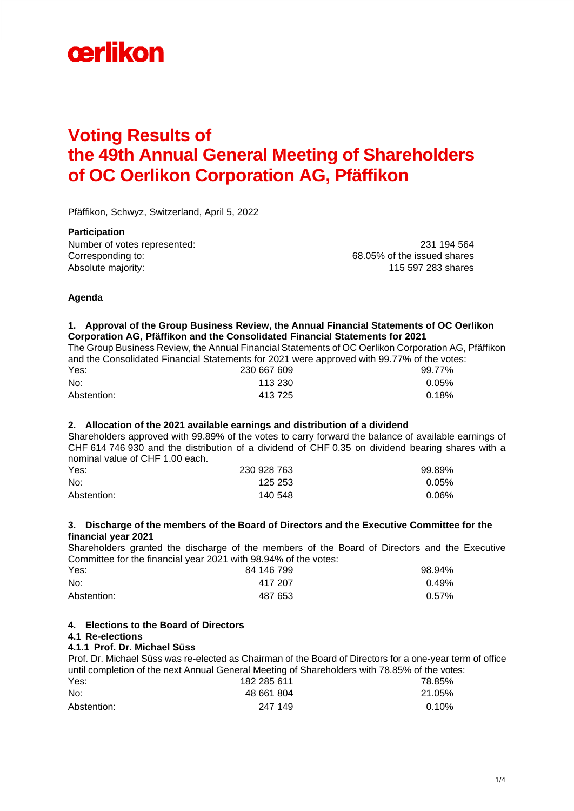

# **Voting Results of the 49th Annual General Meeting of Shareholders of OC Oerlikon Corporation AG, Pfäffikon**

Pfäffikon, Schwyz, Switzerland, April 5, 2022

**Participation**  Number of votes represented: 231 194 564 Corresponding to: 68.05% of the issued shares Absolute majority: 115 597 283 shares

# **Agenda**

### **1. Approval of the Group Business Review, the Annual Financial Statements of OC Oerlikon Corporation AG, Pfäffikon and the Consolidated Financial Statements for 2021**

The Group Business Review, the Annual Financial Statements of OC Oerlikon Corporation AG, Pfäffikon and the Consolidated Financial Statements for 2021 were approved with 99.77% of the votes:<br>230 667 609<br>230 667 609 Yes: 230 667 609 99.77% No: 113 230 0.05%

| .           | LUU UUI UUU | <b>00.III</b> |
|-------------|-------------|---------------|
| No:         | 113 230     | 0.05%         |
| Abstention: | 413 725     | 0.18%         |

# **2. Allocation of the 2021 available earnings and distribution of a dividend**

Shareholders approved with 99.89% of the votes to carry forward the balance of available earnings of CHF 614 746 930 and the distribution of a dividend of CHF 0.35 on dividend bearing shares with a nominal value of CHF 1.00 each.

| Yes:        | 230 928 763 | 99.89%   |
|-------------|-------------|----------|
| No:         | 125 253     | 0.05%    |
| Abstention: | 140 548     | $0.06\%$ |

# **3. Discharge of the members of the Board of Directors and the Executive Committee for the financial year 2021**

Shareholders granted the discharge of the members of the Board of Directors and the Executive Committee for the financial year 2021 with 98.94% of the votes:

| Yes:        | 84 146 799 | 98.94% |
|-------------|------------|--------|
| No:         | 417 207    | 0.49%  |
| Abstention: | 487 653    | 0.57%  |

### **4. Elections to the Board of Directors**

### **4.1 Re-elections**

# **4.1.1 Prof. Dr. Michael Süss**

Prof. Dr. Michael Süss was re-elected as Chairman of the Board of Directors for a one-year term of office until completion of the next Annual General Meeting of Shareholders with 78.85% of the votes: Yes: 182 285 611 78.85%

| .           | .          | .      |
|-------------|------------|--------|
| No:         | 48 661 804 | 21.05% |
| Abstention: | 247 149    | 0.10%  |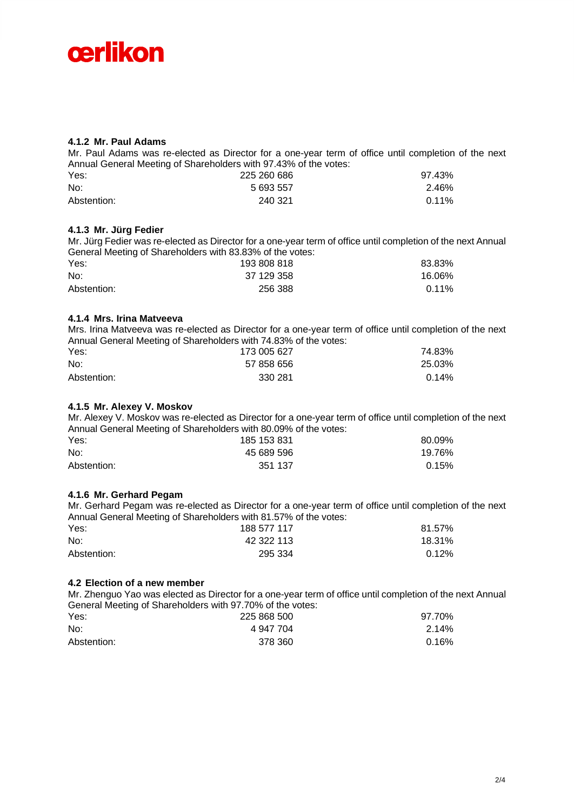

### **4.1.2 Mr. Paul Adams**

Mr. Paul Adams was re-elected as Director for a one-year term of office until completion of the next Annual General Meeting of Shareholders with 97.43% of the votes: Yes: 225 260 686 97.43% No: 5 693 557 2.46% Abstention: 240 321 0.11%

### **4.1.3 Mr. Jürg Fedier**

Mr. Jürg Fedier was re-elected as Director for a one-year term of office until completion of the next Annual General Meeting of Shareholders with 83.83% of the votes:

| Yes:        | 193 808 818 | 83.83%   |
|-------------|-------------|----------|
| No:         | 37 129 358  | 16.06%   |
| Abstention: | 256 388     | $0.11\%$ |

# **4.1.4 Mrs. Irina Matveeva**

Mrs. Irina Matveeva was re-elected as Director for a one-year term of office until completion of the next Annual General Meeting of Shareholders with 74.83% of the votes:

| Yes:        | 173 005 627 | 74.83% |
|-------------|-------------|--------|
| No:         | 57 858 656  | 25.03% |
| Abstention: | 330 281     | 0.14%  |

### **4.1.5 Mr. Alexey V. Moskov**

Mr. Alexey V. Moskov was re-elected as Director for a one-year term of office until completion of the next Annual General Meeting of Shareholders with 80.09% of the votes:

| Yes:        | 185 153 831 | 80.09% |
|-------------|-------------|--------|
| No:         | 45 689 596  | 19.76% |
| Abstention: | 351 137     | 0.15%  |

### **4.1.6 Mr. Gerhard Pegam**

Mr. Gerhard Pegam was re-elected as Director for a one-year term of office until completion of the next Annual General Meeting of Shareholders with 81.57% of the votes:

| Yes:        | 188 577 117 | 81.57% |
|-------------|-------------|--------|
| No:         | 42 322 113  | 18.31% |
| Abstention: | 295 334     | 0.12%  |

### **4.2 Election of a new member**

Mr. Zhenguo Yao was elected as Director for a one-year term of office until completion of the next Annual General Meeting of Shareholders with 97.70% of the votes:

| Yes:        | 225 868 500 | 97.70%   |
|-------------|-------------|----------|
| No:         | 4 947 704   | $2.14\%$ |
| Abstention: | 378 360     | 0.16%    |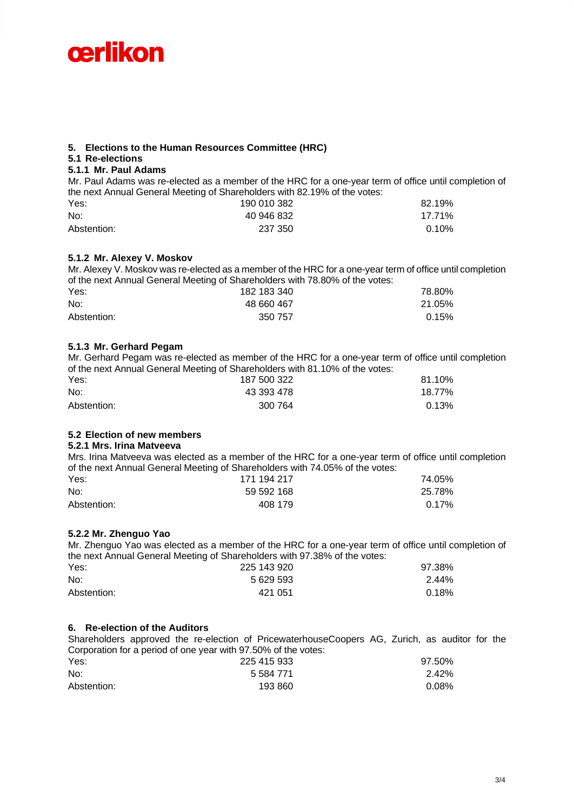

# **5. Elections to the Human Resources Committee (HRC)**

# **5.1 Re-elections**

### **5.1.1 Mr. Paul Adams**

Mr. Paul Adams was re-elected as a member of the HRC for a one-year term of office until completion of the next Annual General Meeting of Shareholders with 82.19% of the votes:

| Yes:        | 190 010 382 | 82.19%   |
|-------------|-------------|----------|
| No:         | 40 946 832  | 17.71%   |
| Abstention: | 237 350     | $0.10\%$ |

### **5.1.2 Mr. Alexey V. Moskov**

Mr. Alexey V. Moskov was re-elected as a member of the HRC for a one-year term of office until completion of the next Annual General Meeting of Shareholders with 78.80% of the votes:

| Yes:        | 182 183 340 | 78.80% |
|-------------|-------------|--------|
| No:         | 48 660 467  | 21.05% |
| Abstention: | 350 757     | 0.15%  |

### **5.1.3 Mr. Gerhard Pegam**

Mr. Gerhard Pegam was re-elected as member of the HRC for a one-year term of office until completion of the next Annual General Meeting of Shareholders with 81.10% of the votes:

| Yes:        | 187 500 322 | 81.10% |
|-------------|-------------|--------|
| No:         | 43 393 478  | 18.77% |
| Abstention: | 300 764     | 0.13%  |

# **5.2 Election of new members**

# **5.2.1 Mrs. Irina Matveeva**

Mrs. Irina Matveeva was elected as a member of the HRC for a one-year term of office until completion of the next Annual General Meeting of Shareholders with 74.05% of the votes:

| Yes:        | 171 194 217 | 74.05%   |
|-------------|-------------|----------|
| No:         | 59 592 168  | 25.78%   |
| Abstention: | 408 179     | $0.17\%$ |

### **5.2.2 Mr. Zhenguo Yao**

Mr. Zhenguo Yao was elected as a member of the HRC for a one-year term of office until completion of the next Annual General Meeting of Shareholders with 97.38% of the votes:

| Yes:        | 225 143 920 | 97.38%   |
|-------------|-------------|----------|
| No:         | 5 629 593   | $2.44\%$ |
| Abstention: | 421 051     | $0.18\%$ |

### **6. Re-election of the Auditors**

Shareholders approved the re-election of PricewaterhouseCoopers AG, Zurich, as auditor for the Corporation for a period of one year with 97.50% of the votes:

| Yes:        | 225 415 933 | 97.50% |
|-------------|-------------|--------|
| No:         | 5 584 771   | 2.42%  |
| Abstention: | 193 860     | 0.08%  |